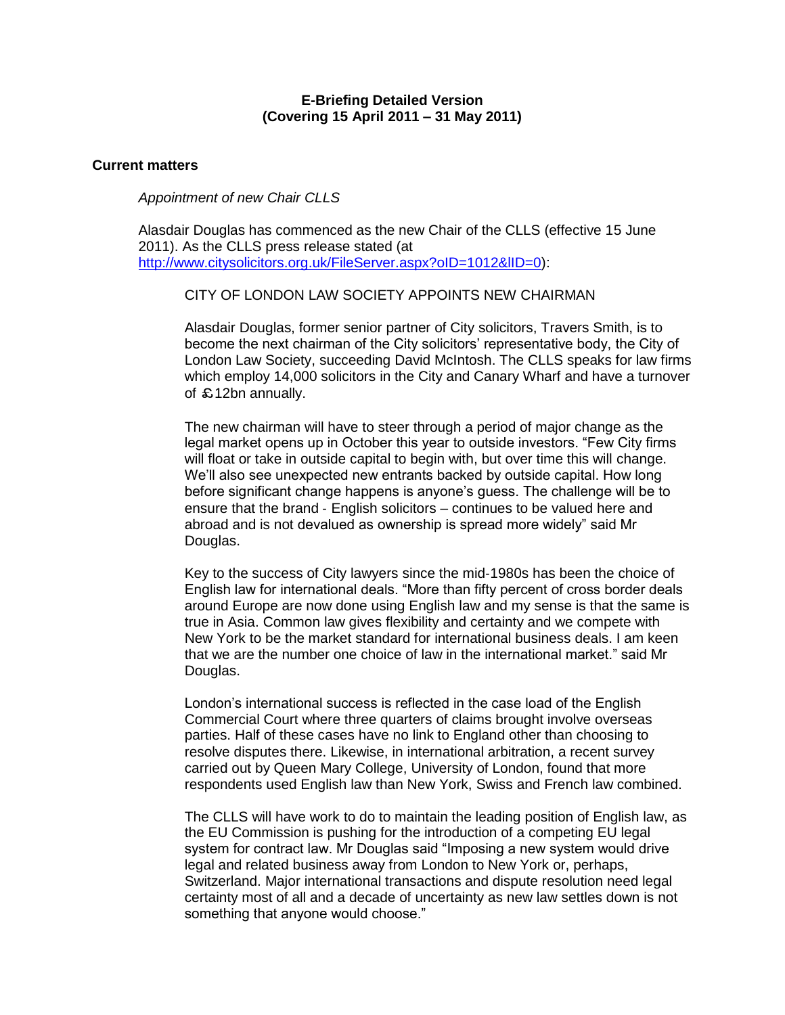# **E-Briefing Detailed Version (Covering 15 April 2011 – 31 May 2011)**

# **Current matters**

*Appointment of new Chair CLLS*

Alasdair Douglas has commenced as the new Chair of the CLLS (effective 15 June 2011). As the CLLS press release stated (at http://www.citysolicitors.org.uk/FileServer.aspx?oID=1012&IID=0):

CITY OF LONDON LAW SOCIETY APPOINTS NEW CHAIRMAN

Alasdair Douglas, former senior partner of City solicitors, Travers Smith, is to become the next chairman of the City solicitors' representative body, the City of London Law Society, succeeding David McIntosh. The CLLS speaks for law firms which employ 14,000 solicitors in the City and Canary Wharf and have a turnover of £12bn annually.

The new chairman will have to steer through a period of major change as the legal market opens up in October this year to outside investors. "Few City firms will float or take in outside capital to begin with, but over time this will change. We'll also see unexpected new entrants backed by outside capital. How long before significant change happens is anyone's guess. The challenge will be to ensure that the brand ‐ English solicitors – continues to be valued here and abroad and is not devalued as ownership is spread more widely" said Mr Douglas.

Key to the success of City lawyers since the mid‐1980s has been the choice of English law for international deals. "More than fifty percent of cross border deals around Europe are now done using English law and my sense is that the same is true in Asia. Common law gives flexibility and certainty and we compete with New York to be the market standard for international business deals. I am keen that we are the number one choice of law in the international market." said Mr Douglas.

London's international success is reflected in the case load of the English Commercial Court where three quarters of claims brought involve overseas parties. Half of these cases have no link to England other than choosing to resolve disputes there. Likewise, in international arbitration, a recent survey carried out by Queen Mary College, University of London, found that more respondents used English law than New York, Swiss and French law combined.

The CLLS will have work to do to maintain the leading position of English law, as the EU Commission is pushing for the introduction of a competing EU legal system for contract law. Mr Douglas said "Imposing a new system would drive legal and related business away from London to New York or, perhaps, Switzerland. Major international transactions and dispute resolution need legal certainty most of all and a decade of uncertainty as new law settles down is not something that anyone would choose."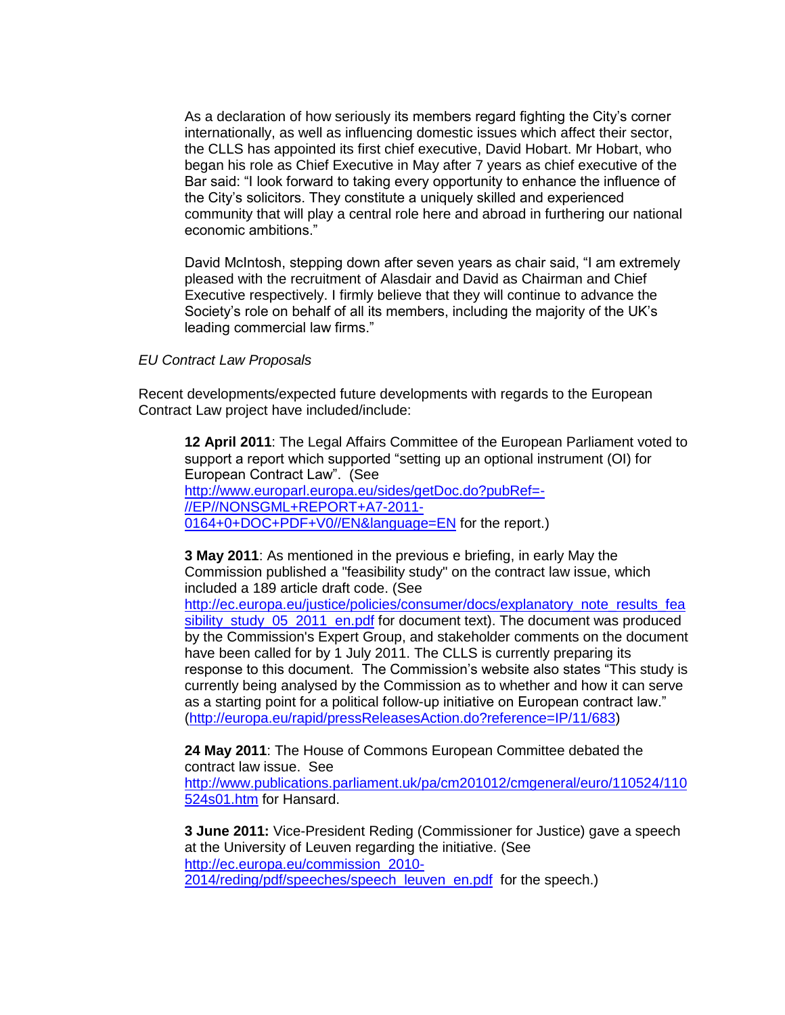As a declaration of how seriously its members regard fighting the City's corner internationally, as well as influencing domestic issues which affect their sector, the CLLS has appointed its first chief executive, David Hobart. Mr Hobart, who began his role as Chief Executive in May after 7 years as chief executive of the Bar said: "I look forward to taking every opportunity to enhance the influence of the City's solicitors. They constitute a uniquely skilled and experienced community that will play a central role here and abroad in furthering our national economic ambitions."

David McIntosh, stepping down after seven years as chair said, "I am extremely pleased with the recruitment of Alasdair and David as Chairman and Chief Executive respectively. I firmly believe that they will continue to advance the Society's role on behalf of all its members, including the majority of the UK's leading commercial law firms."

# *EU Contract Law Proposals*

Recent developments/expected future developments with regards to the European Contract Law project have included/include:

**12 April 2011**: The Legal Affairs Committee of the European Parliament voted to support a report which supported "setting up an optional instrument (OI) for European Contract Law". (See [http://www.europarl.europa.eu/sides/getDoc.do?pubRef=-](http://www.europarl.europa.eu/sides/getDoc.do?pubRef=-//EP//NONSGML+REPORT+A7-2011-0164+0+DOC+PDF+V0//EN&language=EN) [//EP//NONSGML+REPORT+A7-2011-](http://www.europarl.europa.eu/sides/getDoc.do?pubRef=-//EP//NONSGML+REPORT+A7-2011-0164+0+DOC+PDF+V0//EN&language=EN) [0164+0+DOC+PDF+V0//EN&language=EN](http://www.europarl.europa.eu/sides/getDoc.do?pubRef=-//EP//NONSGML+REPORT+A7-2011-0164+0+DOC+PDF+V0//EN&language=EN) for the report.)

**3 May 2011**: As mentioned in the previous e briefing, in early May the Commission published a "feasibility study" on the contract law issue, which included a 189 article draft code. (See

[http://ec.europa.eu/justice/policies/consumer/docs/explanatory\\_note\\_results\\_fea](http://ec.europa.eu/justice/policies/consumer/docs/explanatory_note_results_feasibility_study_05_2011_en.pdf) [sibility\\_study\\_05\\_2011\\_en.pdf](http://ec.europa.eu/justice/policies/consumer/docs/explanatory_note_results_feasibility_study_05_2011_en.pdf) for document text). The document was produced by the Commission's Expert Group, and stakeholder comments on the document have been called for by 1 July 2011. The CLLS is currently preparing its response to this document. The Commission's website also states "This study is currently being analysed by the Commission as to whether and how it can serve as a starting point for a political follow-up initiative on European contract law." [\(http://europa.eu/rapid/pressReleasesAction.do?reference=IP/11/683\)](http://europa.eu/rapid/pressReleasesAction.do?reference=IP/11/683)

**24 May 2011**: The House of Commons European Committee debated the contract law issue. See [http://www.publications.parliament.uk/pa/cm201012/cmgeneral/euro/110524/110](http://www.publications.parliament.uk/pa/cm201012/cmgeneral/euro/110524/110524s01.htm) [524s01.htm](http://www.publications.parliament.uk/pa/cm201012/cmgeneral/euro/110524/110524s01.htm) for Hansard.

**3 June 2011:** Vice-President Reding (Commissioner for Justice) gave a speech at the University of Leuven regarding the initiative. (See [http://ec.europa.eu/commission\\_2010-](http://ec.europa.eu/commission_2010-2014/reding/pdf/speeches/speech_leuven_en.pdf)

[2014/reding/pdf/speeches/speech\\_leuven\\_en.pdf](http://ec.europa.eu/commission_2010-2014/reding/pdf/speeches/speech_leuven_en.pdf) for the speech.)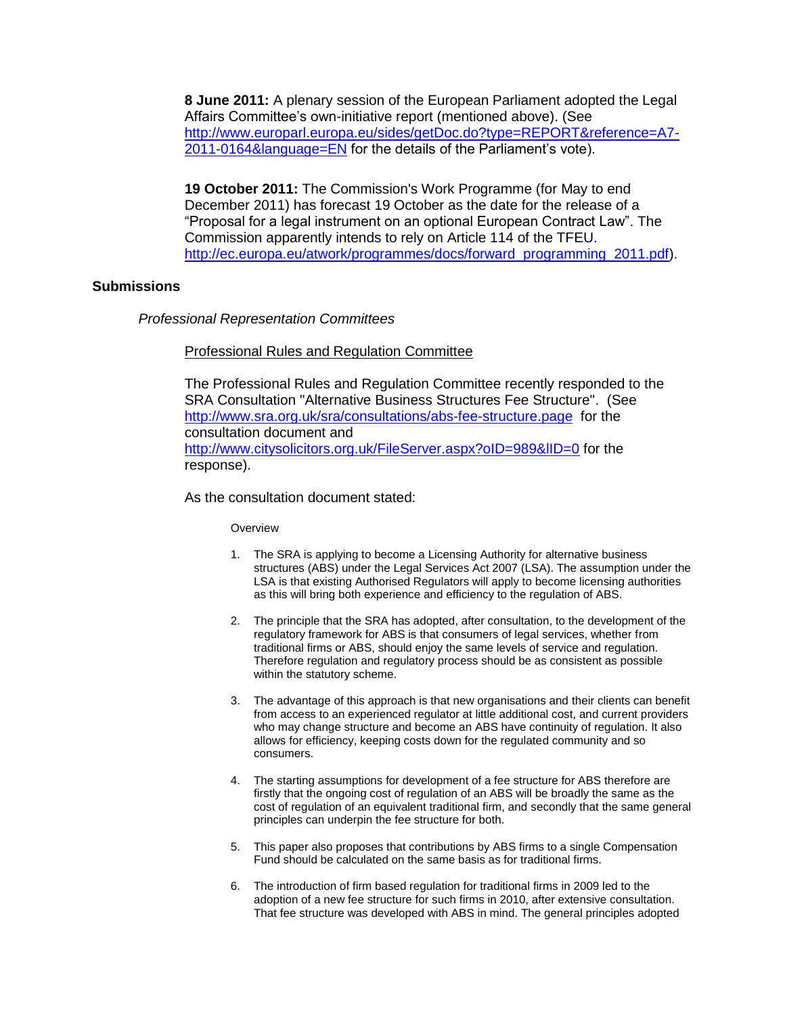**8 June 2011:** A plenary session of the European Parliament adopted the Legal Affairs Committee's own-initiative report (mentioned above). (See [http://www.europarl.europa.eu/sides/getDoc.do?type=REPORT&reference=A7-](https://outlook.hostedservice2.net/owa/redir.aspx?C=4469fbae4ff34cd58f45d68445cabc8c&URL=http%3a%2f%2fwww.europarl.europa.eu%2fsides%2fgetDoc.do%3ftype%3dREPORT%26reference%3dA7-2011-0164%26language%3dEN) [2011-0164&language=EN](https://outlook.hostedservice2.net/owa/redir.aspx?C=4469fbae4ff34cd58f45d68445cabc8c&URL=http%3a%2f%2fwww.europarl.europa.eu%2fsides%2fgetDoc.do%3ftype%3dREPORT%26reference%3dA7-2011-0164%26language%3dEN) for the details of the Parliament's vote).

**19 October 2011:** The Commission's Work Programme (for May to end December 2011) has forecast 19 October as the date for the release of a "Proposal for a legal instrument on an optional European Contract Law". The Commission apparently intends to rely on Article 114 of the TFEU. [http://ec.europa.eu/atwork/programmes/docs/forward\\_programming\\_2011.pdf\)](http://ec.europa.eu/atwork/programmes/docs/forward_programming_2011.pdf).

# **Submissions**

*Professional Representation Committees*

# Professional Rules and Regulation Committee

The Professional Rules and Regulation Committee recently responded to the SRA Consultation "Alternative Business Structures Fee Structure". (See <http://www.sra.org.uk/sra/consultations/abs-fee-structure.page>for the consultation document and <http://www.citysolicitors.org.uk/FileServer.aspx?oID=989&lID=0> for the response).

As the consultation document stated:

# **Overview**

- 1. The SRA is applying to become a Licensing Authority for alternative business structures (ABS) under the Legal Services Act 2007 (LSA). The assumption under the LSA is that existing Authorised Regulators will apply to become licensing authorities as this will bring both experience and efficiency to the regulation of ABS.
- 2. The principle that the SRA has adopted, after consultation, to the development of the regulatory framework for ABS is that consumers of legal services, whether from traditional firms or ABS, should enjoy the same levels of service and regulation. Therefore regulation and regulatory process should be as consistent as possible within the statutory scheme.
- 3. The advantage of this approach is that new organisations and their clients can benefit from access to an experienced regulator at little additional cost, and current providers who may change structure and become an ABS have continuity of regulation. It also allows for efficiency, keeping costs down for the regulated community and so consumers.
- 4. The starting assumptions for development of a fee structure for ABS therefore are firstly that the ongoing cost of regulation of an ABS will be broadly the same as the cost of regulation of an equivalent traditional firm, and secondly that the same general principles can underpin the fee structure for both.
- 5. This paper also proposes that contributions by ABS firms to a single Compensation Fund should be calculated on the same basis as for traditional firms.
- 6. The introduction of firm based regulation for traditional firms in 2009 led to the adoption of a new fee structure for such firms in 2010, after extensive consultation. That fee structure was developed with ABS in mind. The general principles adopted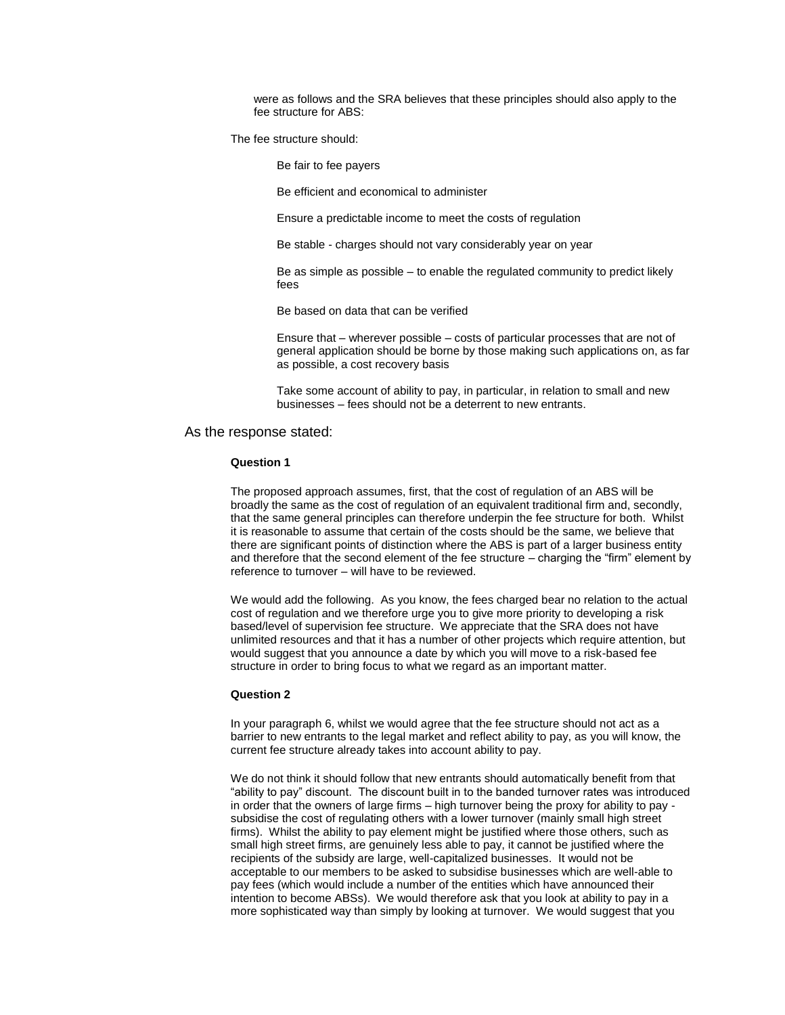were as follows and the SRA believes that these principles should also apply to the fee structure for ABS:

The fee structure should:

Be fair to fee payers

Be efficient and economical to administer

Ensure a predictable income to meet the costs of regulation

Be stable - charges should not vary considerably year on year

Be as simple as possible – to enable the regulated community to predict likely fees

Be based on data that can be verified

Ensure that – wherever possible – costs of particular processes that are not of general application should be borne by those making such applications on, as far as possible, a cost recovery basis

Take some account of ability to pay, in particular, in relation to small and new businesses – fees should not be a deterrent to new entrants.

#### As the response stated:

#### **Question 1**

The proposed approach assumes, first, that the cost of regulation of an ABS will be broadly the same as the cost of regulation of an equivalent traditional firm and, secondly, that the same general principles can therefore underpin the fee structure for both. Whilst it is reasonable to assume that certain of the costs should be the same, we believe that there are significant points of distinction where the ABS is part of a larger business entity and therefore that the second element of the fee structure – charging the "firm" element by reference to turnover – will have to be reviewed.

We would add the following. As you know, the fees charged bear no relation to the actual cost of regulation and we therefore urge you to give more priority to developing a risk based/level of supervision fee structure. We appreciate that the SRA does not have unlimited resources and that it has a number of other projects which require attention, but would suggest that you announce a date by which you will move to a risk-based fee structure in order to bring focus to what we regard as an important matter.

#### **Question 2**

In your paragraph 6, whilst we would agree that the fee structure should not act as a barrier to new entrants to the legal market and reflect ability to pay, as you will know, the current fee structure already takes into account ability to pay.

We do not think it should follow that new entrants should automatically benefit from that "ability to pay" discount. The discount built in to the banded turnover rates was introduced in order that the owners of large firms – high turnover being the proxy for ability to pay subsidise the cost of regulating others with a lower turnover (mainly small high street firms). Whilst the ability to pay element might be justified where those others, such as small high street firms, are genuinely less able to pay, it cannot be justified where the recipients of the subsidy are large, well-capitalized businesses. It would not be acceptable to our members to be asked to subsidise businesses which are well-able to pay fees (which would include a number of the entities which have announced their intention to become ABSs). We would therefore ask that you look at ability to pay in a more sophisticated way than simply by looking at turnover. We would suggest that you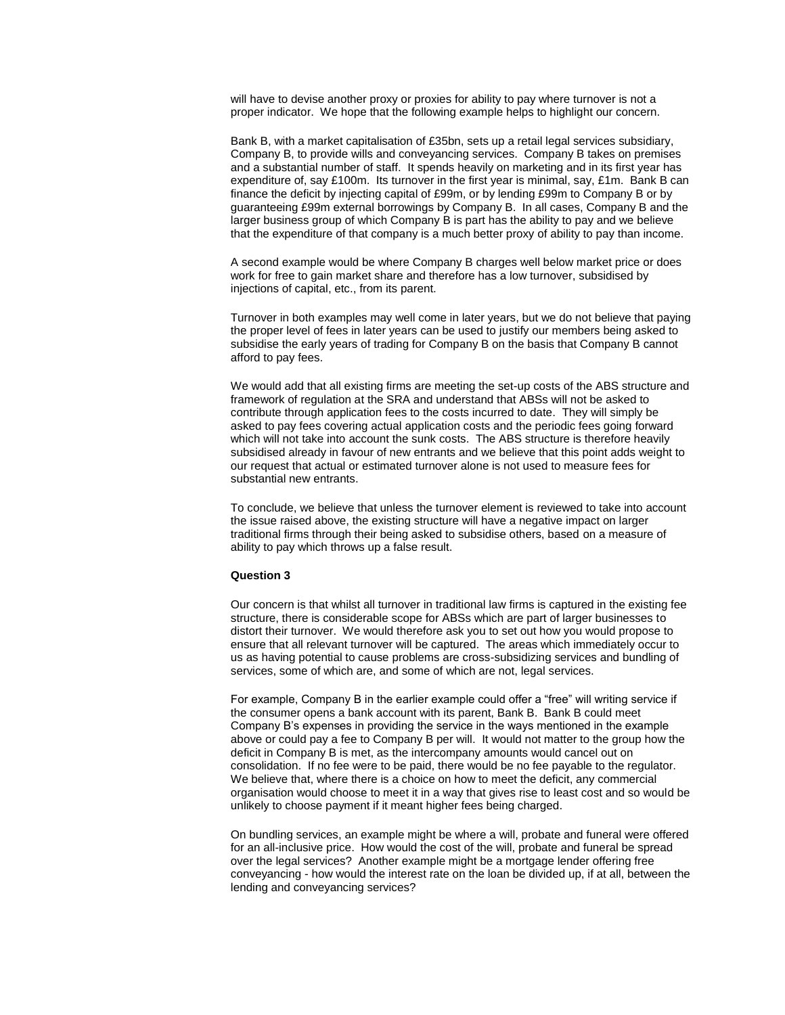will have to devise another proxy or proxies for ability to pay where turnover is not a proper indicator. We hope that the following example helps to highlight our concern.

Bank B, with a market capitalisation of £35bn, sets up a retail legal services subsidiary, Company B, to provide wills and conveyancing services. Company B takes on premises and a substantial number of staff. It spends heavily on marketing and in its first year has expenditure of, say £100m. Its turnover in the first year is minimal, say, £1m. Bank B can finance the deficit by injecting capital of £99m, or by lending £99m to Company B or by guaranteeing £99m external borrowings by Company B. In all cases, Company B and the larger business group of which Company B is part has the ability to pay and we believe that the expenditure of that company is a much better proxy of ability to pay than income.

A second example would be where Company B charges well below market price or does work for free to gain market share and therefore has a low turnover, subsidised by injections of capital, etc., from its parent.

Turnover in both examples may well come in later years, but we do not believe that paying the proper level of fees in later years can be used to justify our members being asked to subsidise the early years of trading for Company B on the basis that Company B cannot afford to pay fees.

We would add that all existing firms are meeting the set-up costs of the ABS structure and framework of regulation at the SRA and understand that ABSs will not be asked to contribute through application fees to the costs incurred to date. They will simply be asked to pay fees covering actual application costs and the periodic fees going forward which will not take into account the sunk costs. The ABS structure is therefore heavily subsidised already in favour of new entrants and we believe that this point adds weight to our request that actual or estimated turnover alone is not used to measure fees for substantial new entrants.

To conclude, we believe that unless the turnover element is reviewed to take into account the issue raised above, the existing structure will have a negative impact on larger traditional firms through their being asked to subsidise others, based on a measure of ability to pay which throws up a false result.

#### **Question 3**

Our concern is that whilst all turnover in traditional law firms is captured in the existing fee structure, there is considerable scope for ABSs which are part of larger businesses to distort their turnover. We would therefore ask you to set out how you would propose to ensure that all relevant turnover will be captured. The areas which immediately occur to us as having potential to cause problems are cross-subsidizing services and bundling of services, some of which are, and some of which are not, legal services.

For example, Company B in the earlier example could offer a "free" will writing service if the consumer opens a bank account with its parent, Bank B. Bank B could meet Company B's expenses in providing the service in the ways mentioned in the example above or could pay a fee to Company B per will. It would not matter to the group how the deficit in Company B is met, as the intercompany amounts would cancel out on consolidation. If no fee were to be paid, there would be no fee payable to the regulator. We believe that, where there is a choice on how to meet the deficit, any commercial organisation would choose to meet it in a way that gives rise to least cost and so would be unlikely to choose payment if it meant higher fees being charged.

On bundling services, an example might be where a will, probate and funeral were offered for an all-inclusive price. How would the cost of the will, probate and funeral be spread over the legal services? Another example might be a mortgage lender offering free conveyancing - how would the interest rate on the loan be divided up, if at all, between the lending and conveyancing services?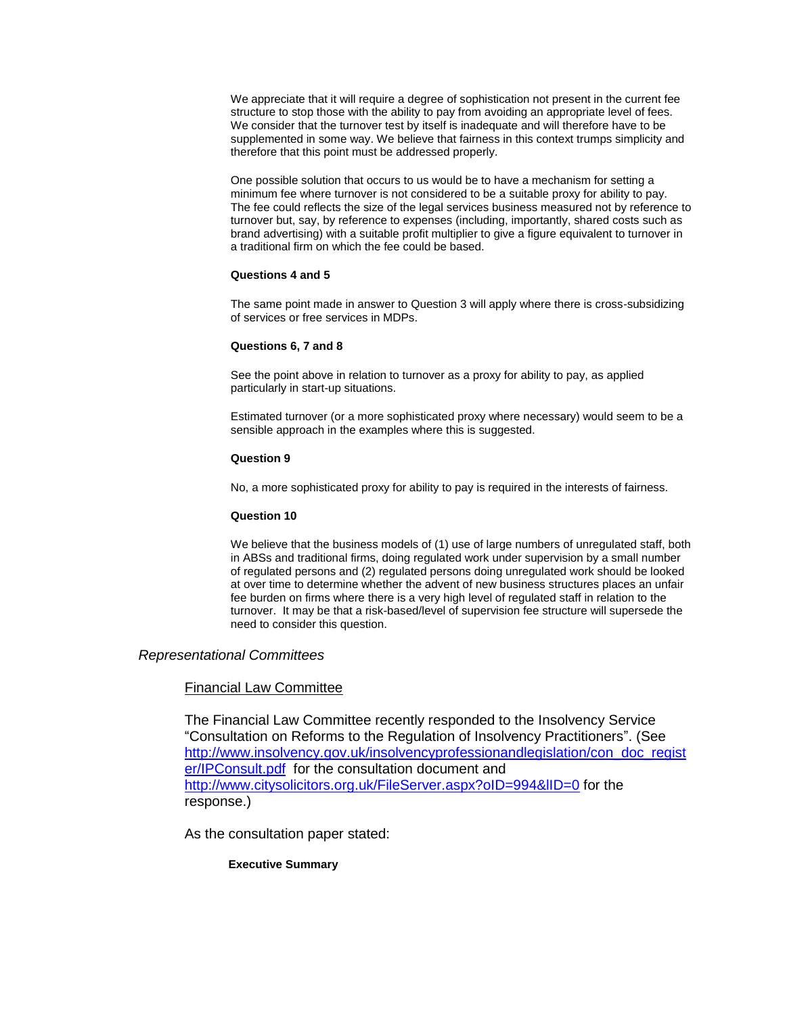We appreciate that it will require a degree of sophistication not present in the current fee structure to stop those with the ability to pay from avoiding an appropriate level of fees. We consider that the turnover test by itself is inadequate and will therefore have to be supplemented in some way. We believe that fairness in this context trumps simplicity and therefore that this point must be addressed properly.

One possible solution that occurs to us would be to have a mechanism for setting a minimum fee where turnover is not considered to be a suitable proxy for ability to pay. The fee could reflects the size of the legal services business measured not by reference to turnover but, say, by reference to expenses (including, importantly, shared costs such as brand advertising) with a suitable profit multiplier to give a figure equivalent to turnover in a traditional firm on which the fee could be based.

# **Questions 4 and 5**

The same point made in answer to Question 3 will apply where there is cross-subsidizing of services or free services in MDPs.

# **Questions 6, 7 and 8**

See the point above in relation to turnover as a proxy for ability to pay, as applied particularly in start-up situations.

Estimated turnover (or a more sophisticated proxy where necessary) would seem to be a sensible approach in the examples where this is suggested.

### **Question 9**

No, a more sophisticated proxy for ability to pay is required in the interests of fairness.

# **Question 10**

We believe that the business models of (1) use of large numbers of unregulated staff, both in ABSs and traditional firms, doing regulated work under supervision by a small number of regulated persons and (2) regulated persons doing unregulated work should be looked at over time to determine whether the advent of new business structures places an unfair fee burden on firms where there is a very high level of regulated staff in relation to the turnover. It may be that a risk-based/level of supervision fee structure will supersede the need to consider this question.

# *Representational Committees*

# Financial Law Committee

The Financial Law Committee recently responded to the Insolvency Service "Consultation on Reforms to the Regulation of Insolvency Practitioners". (See [http://www.insolvency.gov.uk/insolvencyprofessionandlegislation/con\\_doc\\_regist](http://www.insolvency.gov.uk/insolvencyprofessionandlegislation/con_doc_register/IPConsult.pdf) [er/IPConsult.pdf](http://www.insolvency.gov.uk/insolvencyprofessionandlegislation/con_doc_register/IPConsult.pdf) for the consultation document and http://www.citysolicitors.org.uk/FileServer.aspx?oID=994&IID=0 for the response.)

As the consultation paper stated:

# **Executive Summary**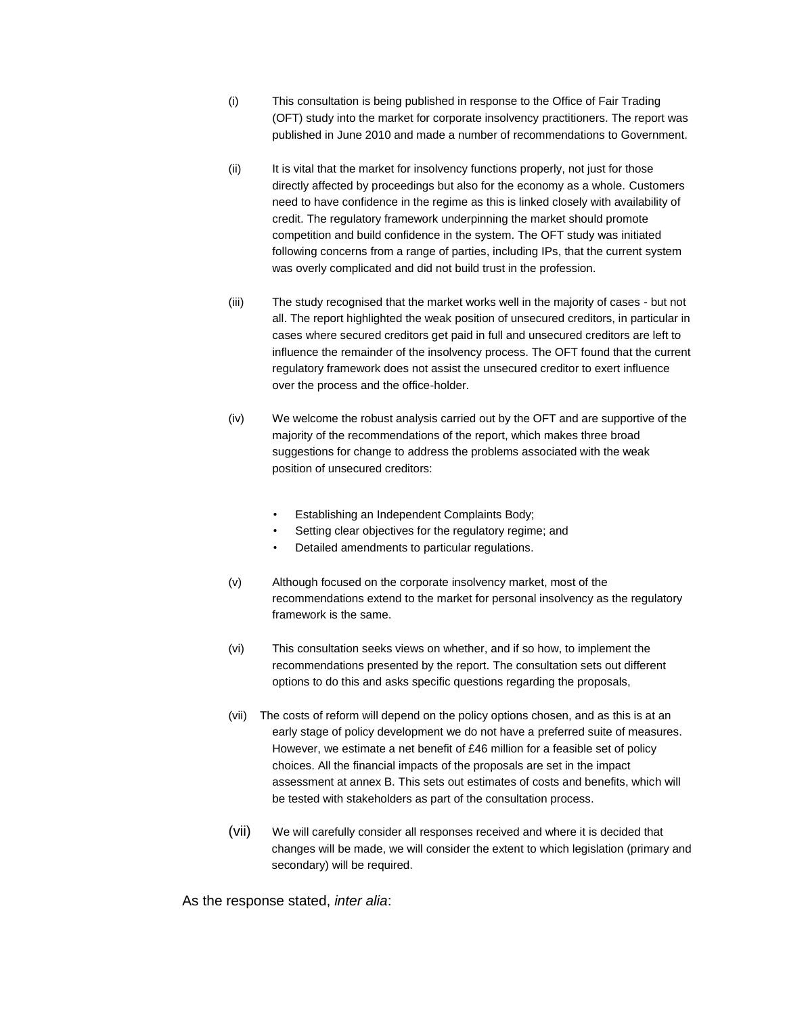- (i) This consultation is being published in response to the Office of Fair Trading (OFT) study into the market for corporate insolvency practitioners. The report was published in June 2010 and made a number of recommendations to Government.
- (ii) It is vital that the market for insolvency functions properly, not just for those directly affected by proceedings but also for the economy as a whole. Customers need to have confidence in the regime as this is linked closely with availability of credit. The regulatory framework underpinning the market should promote competition and build confidence in the system. The OFT study was initiated following concerns from a range of parties, including IPs, that the current system was overly complicated and did not build trust in the profession.
- (iii) The study recognised that the market works well in the majority of cases but not all. The report highlighted the weak position of unsecured creditors, in particular in cases where secured creditors get paid in full and unsecured creditors are left to influence the remainder of the insolvency process. The OFT found that the current regulatory framework does not assist the unsecured creditor to exert influence over the process and the office-holder.
- (iv) We welcome the robust analysis carried out by the OFT and are supportive of the majority of the recommendations of the report, which makes three broad suggestions for change to address the problems associated with the weak position of unsecured creditors:
	- Establishing an Independent Complaints Body;
	- Setting clear objectives for the regulatory regime; and
	- Detailed amendments to particular regulations.
- (v) Although focused on the corporate insolvency market, most of the recommendations extend to the market for personal insolvency as the regulatory framework is the same.
- (vi) This consultation seeks views on whether, and if so how, to implement the recommendations presented by the report. The consultation sets out different options to do this and asks specific questions regarding the proposals,
- (vii) The costs of reform will depend on the policy options chosen, and as this is at an early stage of policy development we do not have a preferred suite of measures. However, we estimate a net benefit of £46 million for a feasible set of policy choices. All the financial impacts of the proposals are set in the impact assessment at annex B. This sets out estimates of costs and benefits, which will be tested with stakeholders as part of the consultation process.
- (vii) We will carefully consider all responses received and where it is decided that changes will be made, we will consider the extent to which legislation (primary and secondary) will be required.

As the response stated, *inter alia*: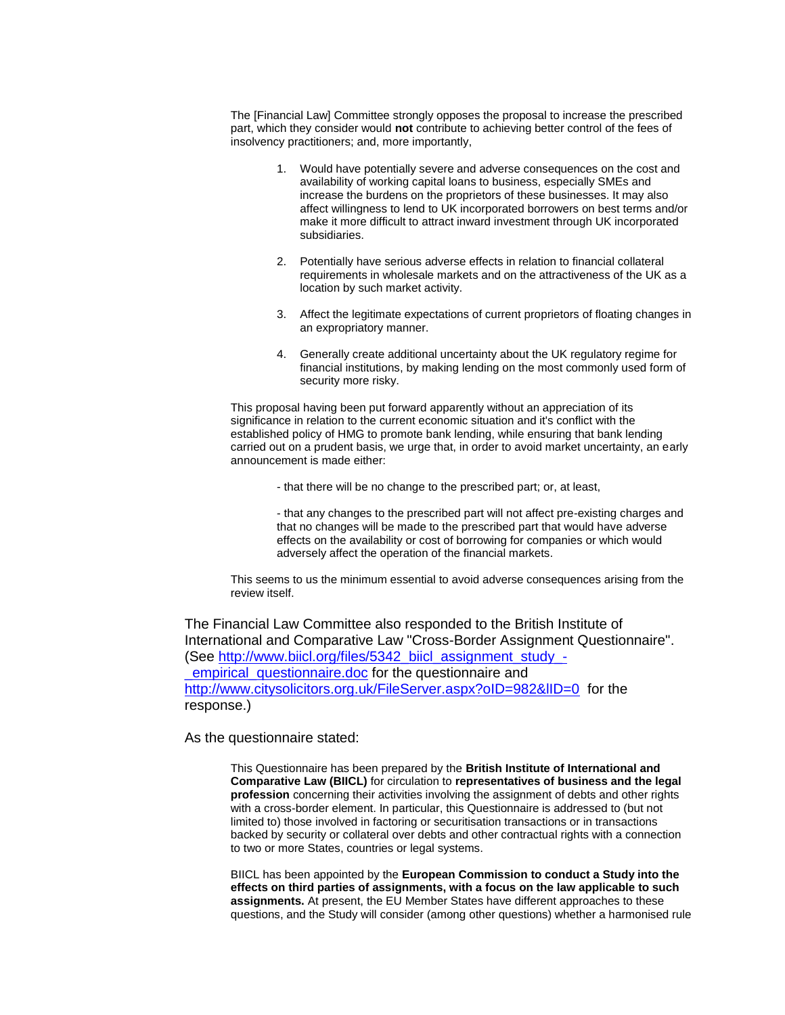The [Financial Law] Committee strongly opposes the proposal to increase the prescribed part, which they consider would **not** contribute to achieving better control of the fees of insolvency practitioners; and, more importantly,

- 1. Would have potentially severe and adverse consequences on the cost and availability of working capital loans to business, especially SMEs and increase the burdens on the proprietors of these businesses. It may also affect willingness to lend to UK incorporated borrowers on best terms and/or make it more difficult to attract inward investment through UK incorporated subsidiaries.
- 2. Potentially have serious adverse effects in relation to financial collateral requirements in wholesale markets and on the attractiveness of the UK as a location by such market activity.
- 3. Affect the legitimate expectations of current proprietors of floating changes in an expropriatory manner.
- 4. Generally create additional uncertainty about the UK regulatory regime for financial institutions, by making lending on the most commonly used form of security more risky.

This proposal having been put forward apparently without an appreciation of its significance in relation to the current economic situation and it's conflict with the established policy of HMG to promote bank lending, while ensuring that bank lending carried out on a prudent basis, we urge that, in order to avoid market uncertainty, an early announcement is made either:

- that there will be no change to the prescribed part; or, at least,

- that any changes to the prescribed part will not affect pre-existing charges and that no changes will be made to the prescribed part that would have adverse effects on the availability or cost of borrowing for companies or which would adversely affect the operation of the financial markets.

This seems to us the minimum essential to avoid adverse consequences arising from the review itself.

The Financial Law Committee also responded to the British Institute of International and Comparative Law "Cross-Border Assignment Questionnaire". (See [http://www.biicl.org/files/5342\\_biicl\\_assignment\\_study\\_](http://www.biicl.org/files/5342_biicl_assignment_study_-_empirical_questionnaire.doc) empirical questionnaire.doc for the questionnaire and http://www.citysolicitors.org.uk/FileServer.aspx?oID=982&IID=0 for the response.)

As the questionnaire stated:

This Questionnaire has been prepared by the **British Institute of International and Comparative Law (BIICL)** for circulation to **representatives of business and the legal profession** concerning their activities involving the assignment of debts and other rights with a cross-border element. In particular, this Questionnaire is addressed to (but not limited to) those involved in factoring or securitisation transactions or in transactions backed by security or collateral over debts and other contractual rights with a connection to two or more States, countries or legal systems.

BIICL has been appointed by the **European Commission to conduct a Study into the effects on third parties of assignments, with a focus on the law applicable to such assignments.** At present, the EU Member States have different approaches to these questions, and the Study will consider (among other questions) whether a harmonised rule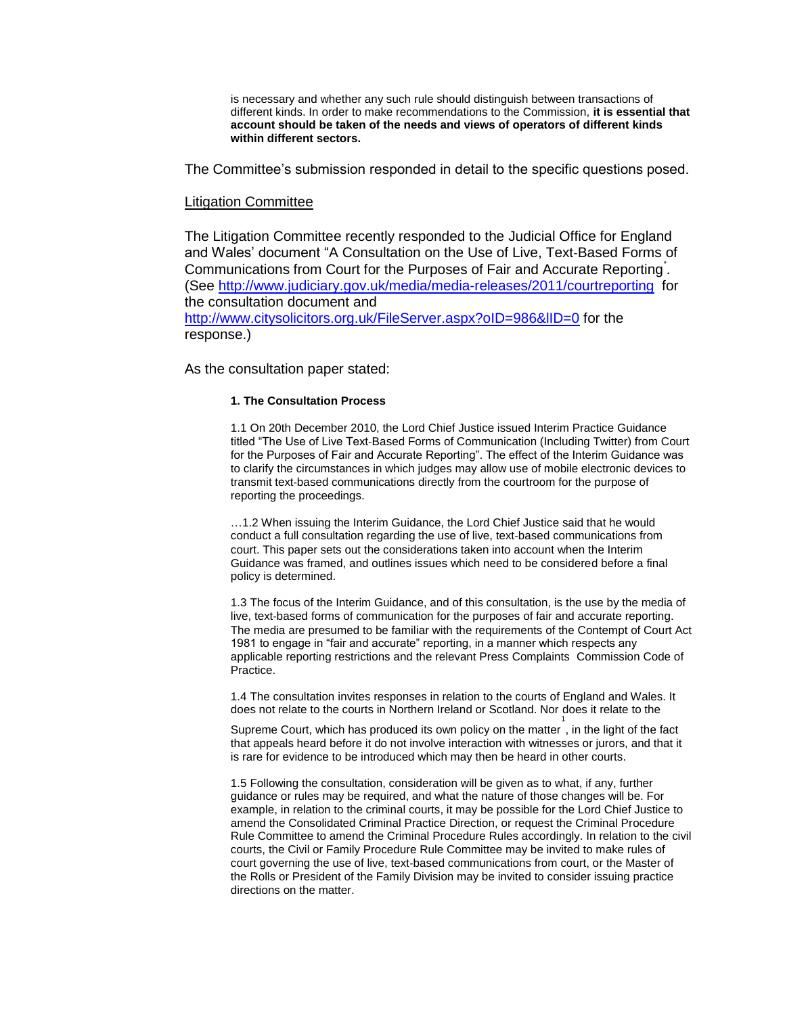is necessary and whether any such rule should distinguish between transactions of different kinds. In order to make recommendations to the Commission, **it is essential that account should be taken of the needs and views of operators of different kinds within different sectors.** 

The Committee's submission responded in detail to the specific questions posed.

# Litigation Committee

The Litigation Committee recently responded to the Judicial Office for England and Wales' document "A Consultation on the Use of Live, Text‐Based Forms of Communications from Court for the Purposes of Fair and Accurate Reporting<sup>"</sup>. (See<http://www.judiciary.gov.uk/media/media-releases/2011/courtreporting>for the consultation document and <http://www.citysolicitors.org.uk/FileServer.aspx?oID=986&lID=0> for the response.)

As the consultation paper stated:

# **1. The Consultation Process**

1.1 On 20th December 2010, the Lord Chief Justice issued Interim Practice Guidance titled "The Use of Live Text‐Based Forms of Communication (Including Twitter) from Court for the Purposes of Fair and Accurate Reporting". The effect of the Interim Guidance was to clarify the circumstances in which judges may allow use of mobile electronic devices to transmit text‐based communications directly from the courtroom for the purpose of reporting the proceedings.

…1.2 When issuing the Interim Guidance, the Lord Chief Justice said that he would conduct a full consultation regarding the use of live, text-based communications from court. This paper sets out the considerations taken into account when the Interim Guidance was framed, and outlines issues which need to be considered before a final policy is determined.

1.3 The focus of the Interim Guidance, and of this consultation, is the use by the media of live, text‐based forms of communication for the purposes of fair and accurate reporting. The media are presumed to be familiar with the requirements of the Contempt of Court Act 1981 to engage in "fair and accurate" reporting, in a manner which respects any applicable reporting restrictions and the relevant Press Complaints Commission Code of Practice.

1.4 The consultation invites responses in relation to the courts of England and Wales. It does not relate to the courts in Northern Ireland or Scotland. Nor does it relate to the 1

Supreme Court, which has produced its own policy on the matter , in the light of the fact that appeals heard before it do not involve interaction with witnesses or jurors, and that it is rare for evidence to be introduced which may then be heard in other courts.

1.5 Following the consultation, consideration will be given as to what, if any, further guidance or rules may be required, and what the nature of those changes will be. For example, in relation to the criminal courts, it may be possible for the Lord Chief Justice to amend the Consolidated Criminal Practice Direction, or request the Criminal Procedure Rule Committee to amend the Criminal Procedure Rules accordingly. In relation to the civil courts, the Civil or Family Procedure Rule Committee may be invited to make rules of court governing the use of live, text-based communications from court, or the Master of the Rolls or President of the Family Division may be invited to consider issuing practice directions on the matter.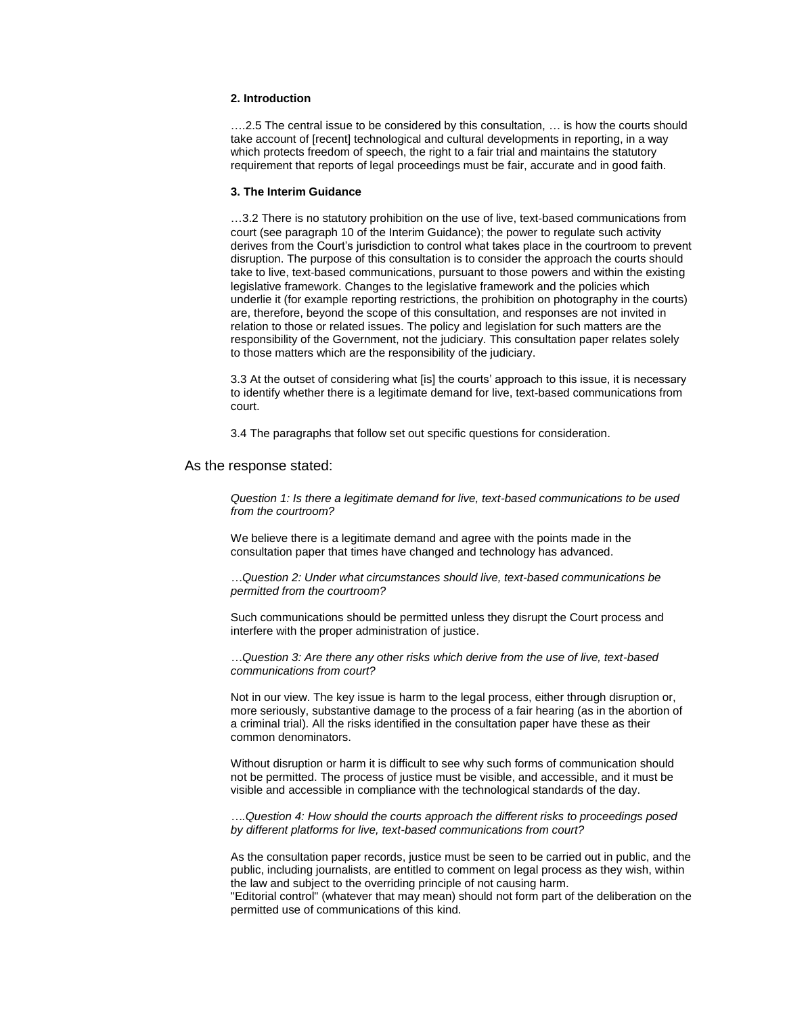### **2. Introduction**

….2.5 The central issue to be considered by this consultation, … is how the courts should take account of [recent] technological and cultural developments in reporting, in a way which protects freedom of speech, the right to a fair trial and maintains the statutory requirement that reports of legal proceedings must be fair, accurate and in good faith.

#### **3. The Interim Guidance**

…3.2 There is no statutory prohibition on the use of live, text‐based communications from court (see paragraph 10 of the Interim Guidance); the power to regulate such activity derives from the Court's jurisdiction to control what takes place in the courtroom to prevent disruption. The purpose of this consultation is to consider the approach the courts should take to live, text‐based communications, pursuant to those powers and within the existing legislative framework. Changes to the legislative framework and the policies which underlie it (for example reporting restrictions, the prohibition on photography in the courts) are, therefore, beyond the scope of this consultation, and responses are not invited in relation to those or related issues. The policy and legislation for such matters are the responsibility of the Government, not the judiciary. This consultation paper relates solely to those matters which are the responsibility of the judiciary.

3.3 At the outset of considering what [is] the courts' approach to this issue, it is necessary to identify whether there is a legitimate demand for live, text‐based communications from court.

3.4 The paragraphs that follow set out specific questions for consideration.

### As the response stated:

*Question 1: Is there a legitimate demand for live, text-based communications to be used from the courtroom?* 

We believe there is a legitimate demand and agree with the points made in the consultation paper that times have changed and technology has advanced.

*…Question 2: Under what circumstances should live, text-based communications be permitted from the courtroom?* 

Such communications should be permitted unless they disrupt the Court process and interfere with the proper administration of justice.

*…Question 3: Are there any other risks which derive from the use of live, text-based communications from court?*

Not in our view. The key issue is harm to the legal process, either through disruption or, more seriously, substantive damage to the process of a fair hearing (as in the abortion of a criminal trial). All the risks identified in the consultation paper have these as their common denominators.

Without disruption or harm it is difficult to see why such forms of communication should not be permitted. The process of justice must be visible, and accessible, and it must be visible and accessible in compliance with the technological standards of the day.

*….Question 4: How should the courts approach the different risks to proceedings posed by different platforms for live, text-based communications from court?* 

As the consultation paper records, justice must be seen to be carried out in public, and the public, including journalists, are entitled to comment on legal process as they wish, within the law and subject to the overriding principle of not causing harm.

"Editorial control" (whatever that may mean) should not form part of the deliberation on the permitted use of communications of this kind.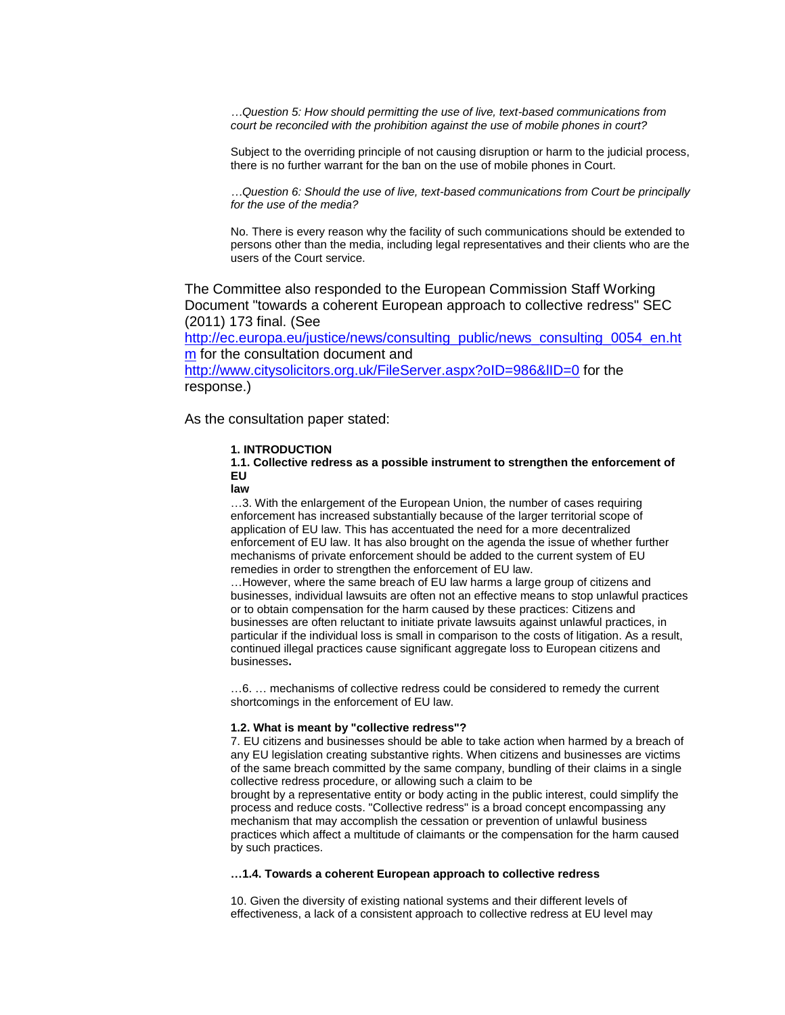*…Question 5: How should permitting the use of live, text-based communications from court be reconciled with the prohibition against the use of mobile phones in court?* 

Subject to the overriding principle of not causing disruption or harm to the judicial process, there is no further warrant for the ban on the use of mobile phones in Court.

*…Question 6: Should the use of live, text-based communications from Court be principally for the use of the media?* 

No. There is every reason why the facility of such communications should be extended to persons other than the media, including legal representatives and their clients who are the users of the Court service.

The Committee also responded to the European Commission Staff Working Document "towards a coherent European approach to collective redress" SEC (2011) 173 final. (See

[http://ec.europa.eu/justice/news/consulting\\_public/news\\_consulting\\_0054\\_en.ht](http://ec.europa.eu/justice/news/consulting_public/news_consulting_0054_en.htm) [m](http://ec.europa.eu/justice/news/consulting_public/news_consulting_0054_en.htm) for the consultation document and <http://www.citysolicitors.org.uk/FileServer.aspx?oID=986&lID=0> for the response.)

As the consultation paper stated:

### **1. INTRODUCTION**

**1.1. Collective redress as a possible instrument to strengthen the enforcement of EU**

**law**

…3. With the enlargement of the European Union, the number of cases requiring enforcement has increased substantially because of the larger territorial scope of application of EU law. This has accentuated the need for a more decentralized enforcement of EU law. It has also brought on the agenda the issue of whether further mechanisms of private enforcement should be added to the current system of EU remedies in order to strengthen the enforcement of EU law.

…However, where the same breach of EU law harms a large group of citizens and businesses, individual lawsuits are often not an effective means to stop unlawful practices or to obtain compensation for the harm caused by these practices: Citizens and businesses are often reluctant to initiate private lawsuits against unlawful practices, in particular if the individual loss is small in comparison to the costs of litigation. As a result, continued illegal practices cause significant aggregate loss to European citizens and businesses**.**

…6. … mechanisms of collective redress could be considered to remedy the current shortcomings in the enforcement of EU law.

#### **1.2. What is meant by "collective redress"?**

7. EU citizens and businesses should be able to take action when harmed by a breach of any EU legislation creating substantive rights. When citizens and businesses are victims of the same breach committed by the same company, bundling of their claims in a single collective redress procedure, or allowing such a claim to be

brought by a representative entity or body acting in the public interest, could simplify the process and reduce costs. "Collective redress" is a broad concept encompassing any mechanism that may accomplish the cessation or prevention of unlawful business practices which affect a multitude of claimants or the compensation for the harm caused by such practices.

#### **…1.4. Towards a coherent European approach to collective redress**

10. Given the diversity of existing national systems and their different levels of effectiveness, a lack of a consistent approach to collective redress at EU level may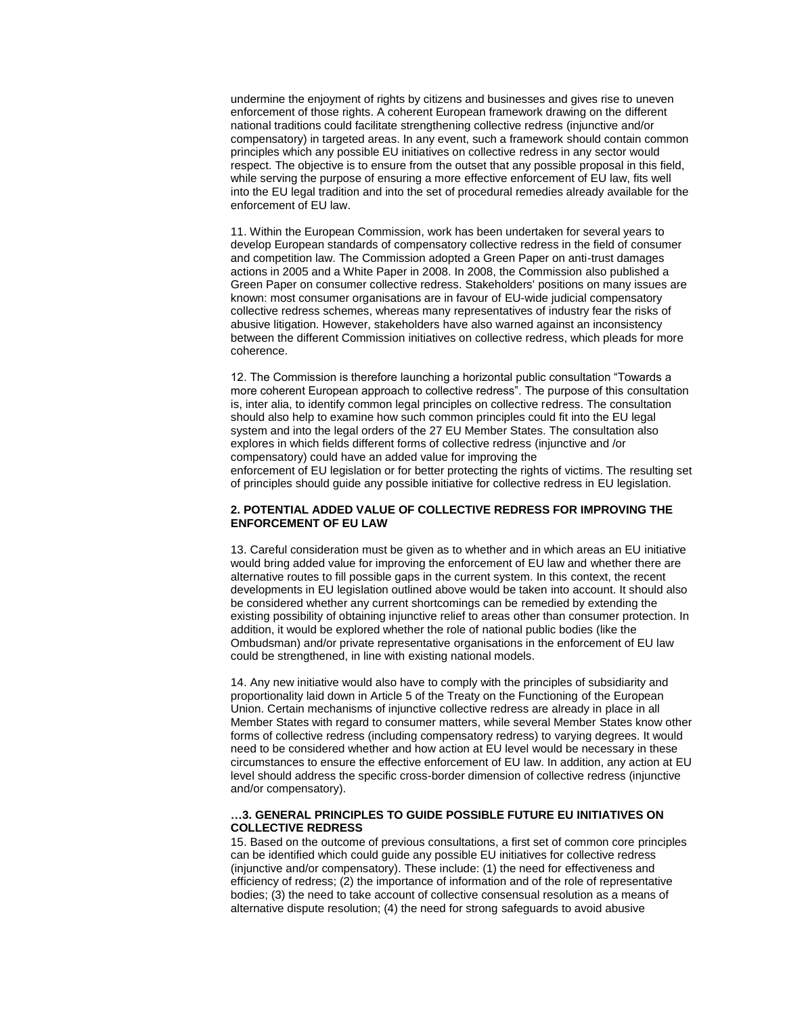undermine the enjoyment of rights by citizens and businesses and gives rise to uneven enforcement of those rights. A coherent European framework drawing on the different national traditions could facilitate strengthening collective redress (injunctive and/or compensatory) in targeted areas. In any event, such a framework should contain common principles which any possible EU initiatives on collective redress in any sector would respect. The objective is to ensure from the outset that any possible proposal in this field, while serving the purpose of ensuring a more effective enforcement of EU law, fits well into the EU legal tradition and into the set of procedural remedies already available for the enforcement of EU law.

11. Within the European Commission, work has been undertaken for several years to develop European standards of compensatory collective redress in the field of consumer and competition law. The Commission adopted a Green Paper on anti-trust damages actions in 2005 and a White Paper in 2008. In 2008, the Commission also published a Green Paper on consumer collective redress. Stakeholders' positions on many issues are known: most consumer organisations are in favour of EU-wide judicial compensatory collective redress schemes, whereas many representatives of industry fear the risks of abusive litigation. However, stakeholders have also warned against an inconsistency between the different Commission initiatives on collective redress, which pleads for more coherence.

12. The Commission is therefore launching a horizontal public consultation "Towards a more coherent European approach to collective redress". The purpose of this consultation is, inter alia, to identify common legal principles on collective redress. The consultation should also help to examine how such common principles could fit into the EU legal system and into the legal orders of the 27 EU Member States. The consultation also explores in which fields different forms of collective redress (injunctive and /or compensatory) could have an added value for improving the enforcement of EU legislation or for better protecting the rights of victims. The resulting set of principles should guide any possible initiative for collective redress in EU legislation.

### **2. POTENTIAL ADDED VALUE OF COLLECTIVE REDRESS FOR IMPROVING THE ENFORCEMENT OF EU LAW**

13. Careful consideration must be given as to whether and in which areas an EU initiative would bring added value for improving the enforcement of EU law and whether there are alternative routes to fill possible gaps in the current system. In this context, the recent developments in EU legislation outlined above would be taken into account. It should also be considered whether any current shortcomings can be remedied by extending the existing possibility of obtaining injunctive relief to areas other than consumer protection. In addition, it would be explored whether the role of national public bodies (like the Ombudsman) and/or private representative organisations in the enforcement of EU law could be strengthened, in line with existing national models.

14. Any new initiative would also have to comply with the principles of subsidiarity and proportionality laid down in Article 5 of the Treaty on the Functioning of the European Union. Certain mechanisms of injunctive collective redress are already in place in all Member States with regard to consumer matters, while several Member States know other forms of collective redress (including compensatory redress) to varying degrees. It would need to be considered whether and how action at EU level would be necessary in these circumstances to ensure the effective enforcement of EU law. In addition, any action at EU level should address the specific cross-border dimension of collective redress (injunctive and/or compensatory).

### **…3. GENERAL PRINCIPLES TO GUIDE POSSIBLE FUTURE EU INITIATIVES ON COLLECTIVE REDRESS**

15. Based on the outcome of previous consultations, a first set of common core principles can be identified which could guide any possible EU initiatives for collective redress (injunctive and/or compensatory). These include: (1) the need for effectiveness and efficiency of redress; (2) the importance of information and of the role of representative bodies; (3) the need to take account of collective consensual resolution as a means of alternative dispute resolution; (4) the need for strong safeguards to avoid abusive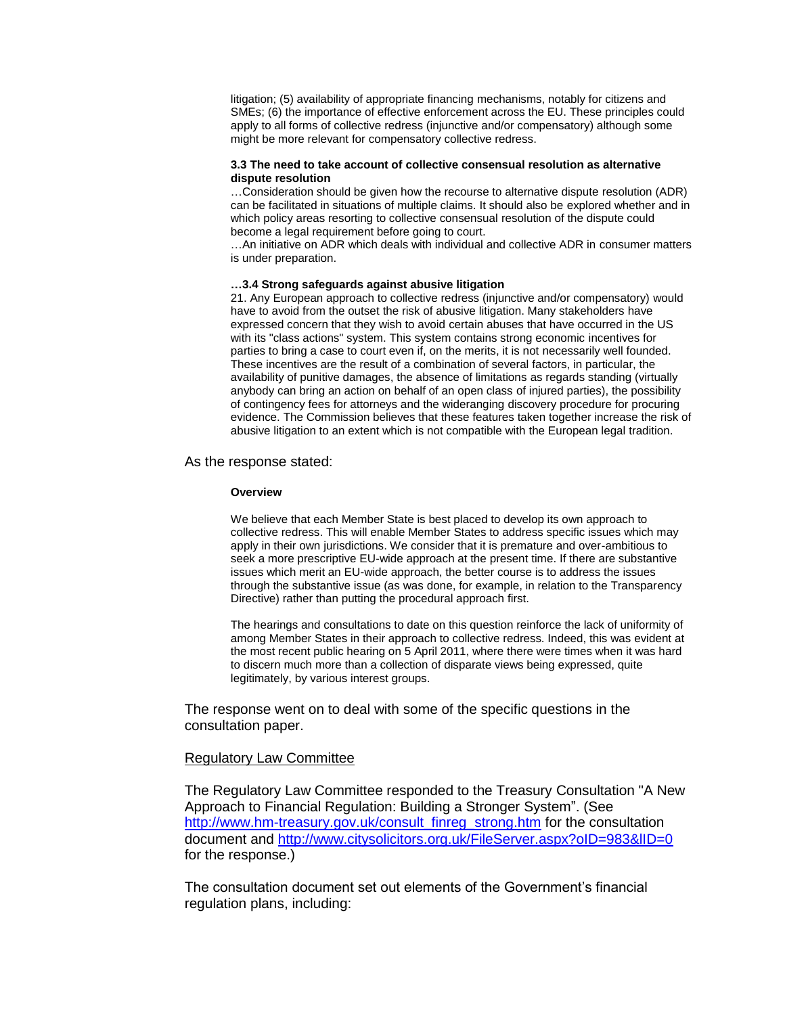litigation; (5) availability of appropriate financing mechanisms, notably for citizens and SMEs; (6) the importance of effective enforcement across the EU. These principles could apply to all forms of collective redress (injunctive and/or compensatory) although some might be more relevant for compensatory collective redress.

### **3.3 The need to take account of collective consensual resolution as alternative dispute resolution**

…Consideration should be given how the recourse to alternative dispute resolution (ADR) can be facilitated in situations of multiple claims. It should also be explored whether and in which policy areas resorting to collective consensual resolution of the dispute could become a legal requirement before going to court.

…An initiative on ADR which deals with individual and collective ADR in consumer matters is under preparation.

# **…3.4 Strong safeguards against abusive litigation**

21. Any European approach to collective redress (injunctive and/or compensatory) would have to avoid from the outset the risk of abusive litigation. Many stakeholders have expressed concern that they wish to avoid certain abuses that have occurred in the US with its "class actions" system. This system contains strong economic incentives for parties to bring a case to court even if, on the merits, it is not necessarily well founded. These incentives are the result of a combination of several factors, in particular, the availability of punitive damages, the absence of limitations as regards standing (virtually anybody can bring an action on behalf of an open class of injured parties), the possibility of contingency fees for attorneys and the wideranging discovery procedure for procuring evidence. The Commission believes that these features taken together increase the risk of abusive litigation to an extent which is not compatible with the European legal tradition.

# As the response stated:

#### **Overview**

We believe that each Member State is best placed to develop its own approach to collective redress. This will enable Member States to address specific issues which may apply in their own jurisdictions. We consider that it is premature and over-ambitious to seek a more prescriptive EU-wide approach at the present time. If there are substantive issues which merit an EU-wide approach, the better course is to address the issues through the substantive issue (as was done, for example, in relation to the Transparency Directive) rather than putting the procedural approach first.

The hearings and consultations to date on this question reinforce the lack of uniformity of among Member States in their approach to collective redress. Indeed, this was evident at the most recent public hearing on 5 April 2011, where there were times when it was hard to discern much more than a collection of disparate views being expressed, quite legitimately, by various interest groups.

The response went on to deal with some of the specific questions in the consultation paper.

# Regulatory Law Committee

The Regulatory Law Committee responded to the Treasury Consultation "A New Approach to Financial Regulation: Building a Stronger System". (See [http://www.hm-treasury.gov.uk/consult\\_finreg\\_strong.htm](http://www.hm-treasury.gov.uk/consult_finreg_strong.htm) for the consultation document and<http://www.citysolicitors.org.uk/FileServer.aspx?oID=983&lID=0> for the response.)

The consultation document set out elements of the Government's financial regulation plans, including: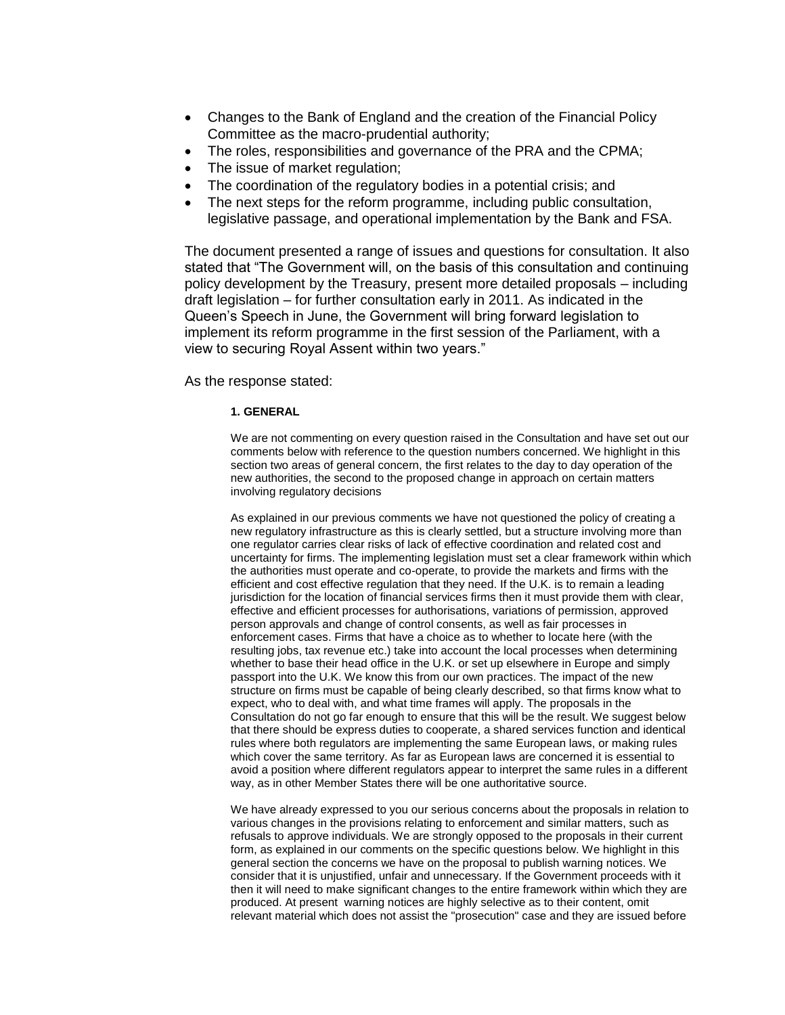- Changes to the Bank of England and the creation of the Financial Policy Committee as the macro-prudential authority;
- The roles, responsibilities and governance of the PRA and the CPMA;
- The issue of market regulation;
- The coordination of the regulatory bodies in a potential crisis; and
- The next steps for the reform programme, including public consultation, legislative passage, and operational implementation by the Bank and FSA.

The document presented a range of issues and questions for consultation. It also stated that "The Government will, on the basis of this consultation and continuing policy development by the Treasury, present more detailed proposals – including draft legislation – for further consultation early in 2011. As indicated in the Queen's Speech in June, the Government will bring forward legislation to implement its reform programme in the first session of the Parliament, with a view to securing Royal Assent within two years."

As the response stated:

# **1. GENERAL**

We are not commenting on every question raised in the Consultation and have set out our comments below with reference to the question numbers concerned. We highlight in this section two areas of general concern, the first relates to the day to day operation of the new authorities, the second to the proposed change in approach on certain matters involving regulatory decisions

As explained in our previous comments we have not questioned the policy of creating a new regulatory infrastructure as this is clearly settled, but a structure involving more than one regulator carries clear risks of lack of effective coordination and related cost and uncertainty for firms. The implementing legislation must set a clear framework within which the authorities must operate and co-operate, to provide the markets and firms with the efficient and cost effective regulation that they need. If the U.K. is to remain a leading jurisdiction for the location of financial services firms then it must provide them with clear, effective and efficient processes for authorisations, variations of permission, approved person approvals and change of control consents, as well as fair processes in enforcement cases. Firms that have a choice as to whether to locate here (with the resulting jobs, tax revenue etc.) take into account the local processes when determining whether to base their head office in the U.K. or set up elsewhere in Europe and simply passport into the U.K. We know this from our own practices. The impact of the new structure on firms must be capable of being clearly described, so that firms know what to expect, who to deal with, and what time frames will apply. The proposals in the Consultation do not go far enough to ensure that this will be the result. We suggest below that there should be express duties to cooperate, a shared services function and identical rules where both regulators are implementing the same European laws, or making rules which cover the same territory. As far as European laws are concerned it is essential to avoid a position where different regulators appear to interpret the same rules in a different way, as in other Member States there will be one authoritative source.

We have already expressed to you our serious concerns about the proposals in relation to various changes in the provisions relating to enforcement and similar matters, such as refusals to approve individuals. We are strongly opposed to the proposals in their current form, as explained in our comments on the specific questions below. We highlight in this general section the concerns we have on the proposal to publish warning notices. We consider that it is unjustified, unfair and unnecessary. If the Government proceeds with it then it will need to make significant changes to the entire framework within which they are produced. At present warning notices are highly selective as to their content, omit relevant material which does not assist the "prosecution" case and they are issued before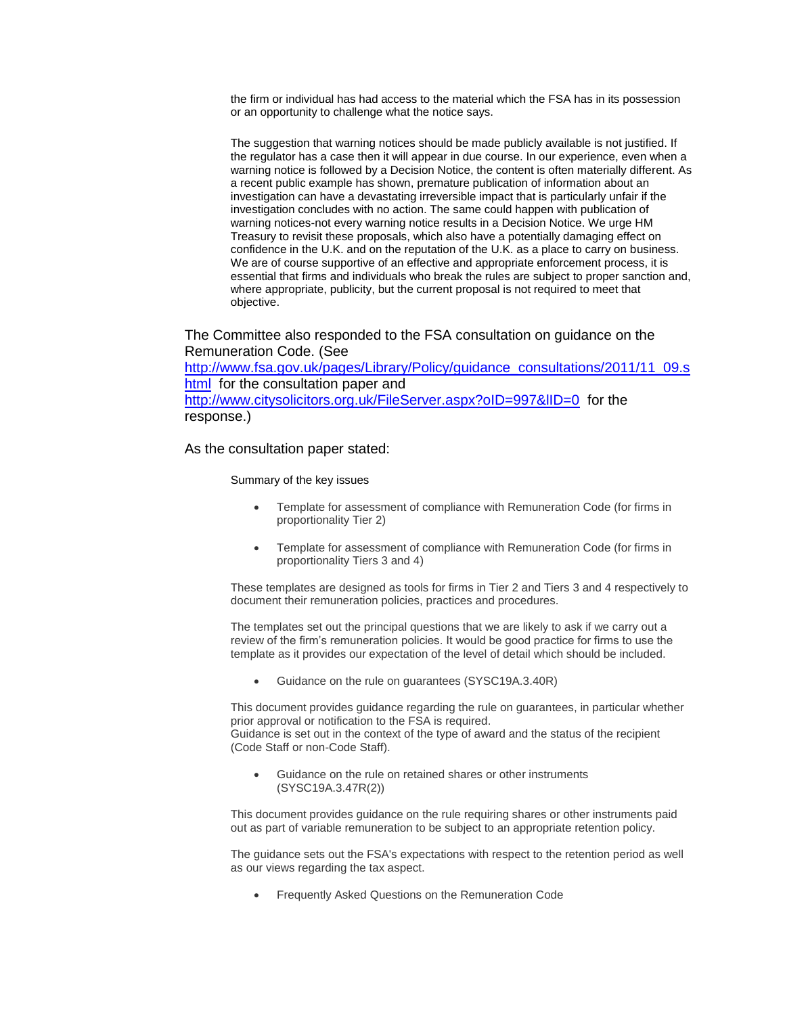the firm or individual has had access to the material which the FSA has in its possession or an opportunity to challenge what the notice says.

The suggestion that warning notices should be made publicly available is not justified. If the regulator has a case then it will appear in due course. In our experience, even when a warning notice is followed by a Decision Notice, the content is often materially different. As a recent public example has shown, premature publication of information about an investigation can have a devastating irreversible impact that is particularly unfair if the investigation concludes with no action. The same could happen with publication of warning notices-not every warning notice results in a Decision Notice. We urge HM Treasury to revisit these proposals, which also have a potentially damaging effect on confidence in the U.K. and on the reputation of the U.K. as a place to carry on business. We are of course supportive of an effective and appropriate enforcement process, it is essential that firms and individuals who break the rules are subject to proper sanction and, where appropriate, publicity, but the current proposal is not required to meet that objective.

The Committee also responded to the FSA consultation on guidance on the Remuneration Code. (See

[http://www.fsa.gov.uk/pages/Library/Policy/guidance\\_consultations/2011/11\\_09.s](http://www.fsa.gov.uk/pages/Library/Policy/guidance_consultations/2011/11_09.shtml) [html](http://www.fsa.gov.uk/pages/Library/Policy/guidance_consultations/2011/11_09.shtml) for the consultation paper and <http://www.citysolicitors.org.uk/FileServer.aspx?oID=997&lID=0> for the response.)

As the consultation paper stated:

Summary of the key issues

- Template for assessment of compliance with Remuneration Code (for firms in proportionality Tier 2)
- Template for assessment of compliance with Remuneration Code (for firms in proportionality Tiers 3 and 4)

These templates are designed as tools for firms in Tier 2 and Tiers 3 and 4 respectively to document their remuneration policies, practices and procedures.

The templates set out the principal questions that we are likely to ask if we carry out a review of the firm's remuneration policies. It would be good practice for firms to use the template as it provides our expectation of the level of detail which should be included.

Guidance on the rule on guarantees (SYSC19A.3.40R)

This document provides guidance regarding the rule on guarantees, in particular whether prior approval or notification to the FSA is required. Guidance is set out in the context of the type of award and the status of the recipient (Code Staff or non-Code Staff).

 Guidance on the rule on retained shares or other instruments (SYSC19A.3.47R(2))

This document provides guidance on the rule requiring shares or other instruments paid out as part of variable remuneration to be subject to an appropriate retention policy.

The guidance sets out the FSA's expectations with respect to the retention period as well as our views regarding the tax aspect.

Frequently Asked Questions on the Remuneration Code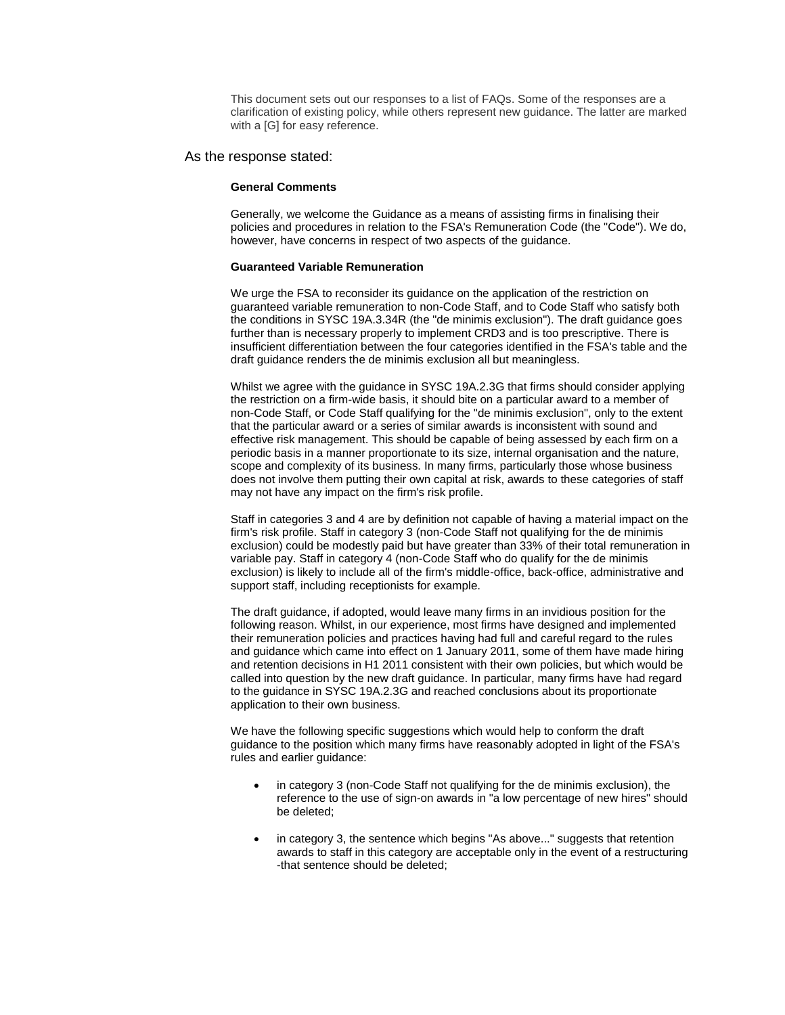This document sets out our responses to a list of FAQs. Some of the responses are a clarification of existing policy, while others represent new guidance. The latter are marked with a [G] for easy reference.

# As the response stated:

#### **General Comments**

Generally, we welcome the Guidance as a means of assisting firms in finalising their policies and procedures in relation to the FSA's Remuneration Code (the "Code"). We do, however, have concerns in respect of two aspects of the guidance.

#### **Guaranteed Variable Remuneration**

We urge the FSA to reconsider its guidance on the application of the restriction on guaranteed variable remuneration to non-Code Staff, and to Code Staff who satisfy both the conditions in SYSC 19A.3.34R (the "de minimis exclusion"). The draft guidance goes further than is necessary properly to implement CRD3 and is too prescriptive. There is insufficient differentiation between the four categories identified in the FSA's table and the draft guidance renders the de minimis exclusion all but meaningless.

Whilst we agree with the guidance in SYSC 19A.2.3G that firms should consider applying the restriction on a firm-wide basis, it should bite on a particular award to a member of non-Code Staff, or Code Staff qualifying for the "de minimis exclusion", only to the extent that the particular award or a series of similar awards is inconsistent with sound and effective risk management. This should be capable of being assessed by each firm on a periodic basis in a manner proportionate to its size, internal organisation and the nature, scope and complexity of its business. In many firms, particularly those whose business does not involve them putting their own capital at risk, awards to these categories of staff may not have any impact on the firm's risk profile.

Staff in categories 3 and 4 are by definition not capable of having a material impact on the firm's risk profile. Staff in category 3 (non-Code Staff not qualifying for the de minimis exclusion) could be modestly paid but have greater than 33% of their total remuneration in variable pay. Staff in category 4 (non-Code Staff who do qualify for the de minimis exclusion) is likely to include all of the firm's middle-office, back-office, administrative and support staff, including receptionists for example.

The draft guidance, if adopted, would leave many firms in an invidious position for the following reason. Whilst, in our experience, most firms have designed and implemented their remuneration policies and practices having had full and careful regard to the rules and guidance which came into effect on 1 January 2011, some of them have made hiring and retention decisions in H1 2011 consistent with their own policies, but which would be called into question by the new draft guidance. In particular, many firms have had regard to the guidance in SYSC 19A.2.3G and reached conclusions about its proportionate application to their own business.

We have the following specific suggestions which would help to conform the draft guidance to the position which many firms have reasonably adopted in light of the FSA's rules and earlier guidance:

- in category 3 (non-Code Staff not qualifying for the de minimis exclusion), the reference to the use of sign-on awards in "a low percentage of new hires" should be deleted;
- in category 3, the sentence which begins "As above..." suggests that retention awards to staff in this category are acceptable only in the event of a restructuring -that sentence should be deleted;